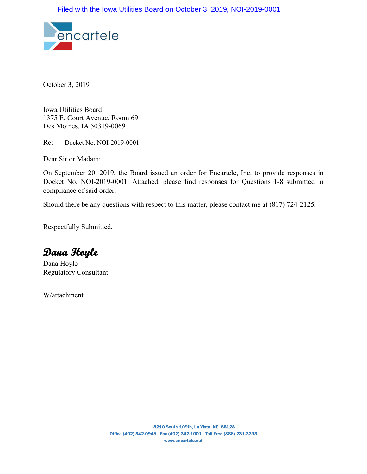

October 3, 2019

Iowa Utilities Board 1375 E. Court Avenue, Room 69 Des Moines, IA 50319-0069

Re: Docket No. NOI-2019-0001

Dear Sir or Madam:

On September 20, 2019, the Board issued an order for Encartele, Inc. to provide responses in Docket No. NOI-2019-0001. Attached, please find responses for Questions 1-8 submitted in compliance of said order.

Should there be any questions with respect to this matter, please contact me at (817) 724-2125.

Respectfully Submitted,

**Dana Hoyle** 

Dana Hoyle Regulatory Consultant

W/attachment

8210 South 109th, La Vista, NE 68128 Office (402) 342-0945 Fax (402) 342-1001 Toll Free (888) 231-3393 www.encartele.net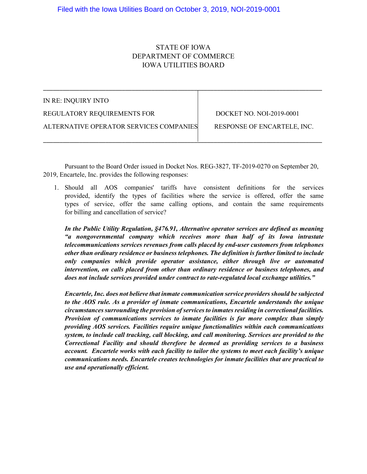# STATE OF IOWA DEPARTMENT OF COMMERCE IOWA UTILITIES BOARD

| IN RE: INQUIRY INTO                     |                             |
|-----------------------------------------|-----------------------------|
| REGULATORY REQUIREMENTS FOR             | DOCKET NO. NOI-2019-0001    |
| ALTERNATIVE OPERATOR SERVICES COMPANIES | RESPONSE OF ENCARTELE, INC. |
|                                         |                             |

Pursuant to the Board Order issued in Docket Nos. REG-3827, TF-2019-0270 on September 20, 2019, Encartele, Inc. provides the following responses:

1. Should all AOS companies' tariffs have consistent definitions for the services provided, identify the types of facilities where the service is offered, offer the same types of service, offer the same calling options, and contain the same requirements for billing and cancellation of service?

*In the Public Utility Regulation, §476.91, Alternative operator services are defined as meaning "a nongovernmental company which receives more than half of its Iowa intrastate telecommunications services revenues from calls placed by end-user customers from telephones other than ordinary residence or business telephones. The definition is further limited to include only companies which provide operator assistance, either through live or automated intervention, on calls placed from other than ordinary residence or business telephones, and does not include services provided under contract to rate-regulated local exchange utilities."*

*Encartele, Inc. does not believe that inmate communication service providers should be subjected to the AOS rule. As a provider of inmate communications, Encartele understands the unique circumstances surrounding the provision of services to inmatesresiding in correctional facilities. Provision of communications services to inmate facilities is far more complex than simply providing AOS services. Facilities require unique functionalities within each communications system, to include call tracking, call blocking, and call monitoring. Services are provided to the Correctional Facility and should therefore be deemed as providing services to a business account. Encartele works with each facility to tailor the systems to meet each facility's unique communications needs. Encartele creates technologies for inmate facilities that are practical to use and operationally efficient.*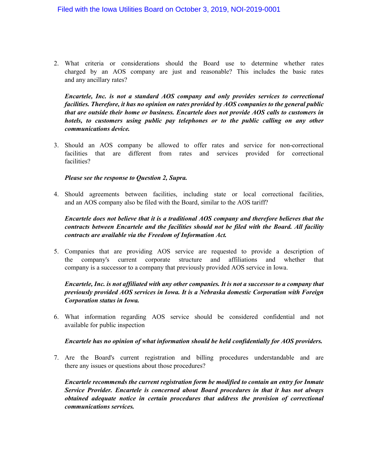2. What criteria or considerations should the Board use to determine whether rates charged by an AOS company are just and reasonable? This includes the basic rates and any ancillary rates?

*Encartele, Inc. is not a standard AOS company and only provides services to correctional facilities. Therefore, it has no opinion on rates provided by AOS companies to the general public that are outside their home or business. Encartele does not provide AOS calls to customers in hotels, to customers using public pay telephones or to the public calling on any other communications device.*

3. Should an AOS company be allowed to offer rates and service for non-correctional facilities that are different from rates and services provided for correctional facilities?

#### *Please see the response to Question 2, Supra.*

4. Should agreements between facilities, including state or local correctional facilities, and an AOS company also be filed with the Board, similar to the AOS tariff?

### *Encartele does not believe that it is a traditional AOS company and therefore believes that the contracts between Encartele and the facilities should not be filed with the Board. All facility contracts are available via the Freedom of Information Act.*

5. Companies that are providing AOS service are requested to provide a description of the company's current corporate structure and affiliations and whether that company is a successor to a company that previously provided AOS service in Iowa.

### *Encartele, Inc. is not affiliated with any other companies. It is not a successor to a company that previously provided AOS services in Iowa. It is a Nebraska domestic Corporation with Foreign Corporation status in Iowa.*

6. What information regarding AOS service should be considered confidential and not available for public inspection

#### *Encartele has no opinion of what information should be held confidentially for AOS providers.*

7. Are the Board's current registration and billing procedures understandable and are there any issues or questions about those procedures?

*Encartele recommends the current registration form be modified to contain an entry for Inmate Service Provider. Encartele is concerned about Board procedures in that it has not always obtained adequate notice in certain procedures that address the provision of correctional communications services.*